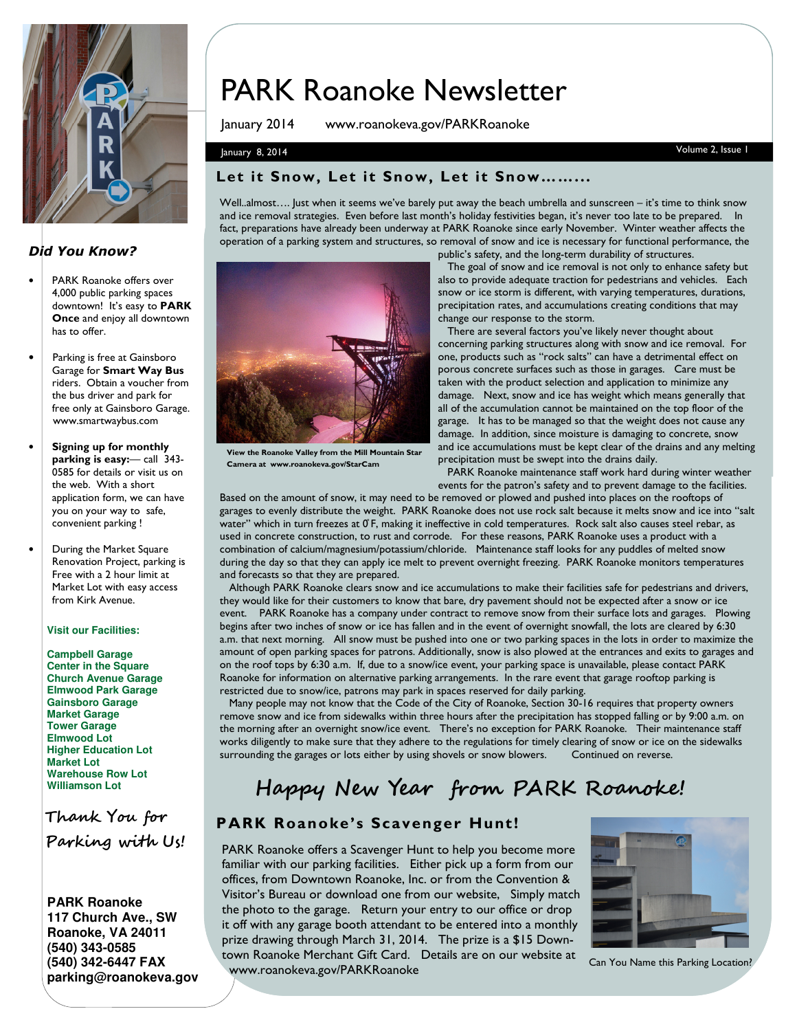

### Did You Know?

- PARK Roanoke offers over 4,000 public parking spaces downtown! It's easy to **PARK** Once and enjoy all downtown has to offer.
- Parking is free at Gainsboro Garage for Smart Way Bus riders. Obtain a voucher from the bus driver and park for free only at Gainsboro Garage. www.smartwaybus.com
- Signing up for monthly parking is easy:— call 343- 0585 for details or visit us on the web. With a short application form, we can have you on your way to safe, convenient parking !
- During the Market Square Renovation Project, parking is Free with a 2 hour limit at Market Lot with easy access from Kirk Avenue.

#### **Visit our Facilities:**

**Campbell Garage Center in the Square Church Avenue Garage Elmwood Park Garage Gainsboro Garage Market Garage Tower Garage Elmwood Lot Higher Education Lot Market Lot Warehouse Row Lot Williamson Lot**

Thank You for Parking with Us!

**PARK Roanoke 117 Church Ave., SW Roanoke, VA 24011 (540) 343-0585 (540) 342-6447 FAX parking@roanokeva.gov** 

# PARK Roanoke Newsletter

January 2014 www.roanokeva.gov/PARKRoanoke

### January 8, 2014 Volume 2, Issue 1

#### Let it Snow, Let it Snow, Let it Snow……...

Well..almost…. Just when it seems we've barely put away the beach umbrella and sunscreen – it's time to think snow and ice removal strategies. Even before last month's holiday festivities began, it's never too late to be prepared. In fact, preparations have already been underway at PARK Roanoke since early November. Winter weather affects the operation of a parking system and structures, so removal of snow and ice is necessary for functional performance, the public's safety, and the long-term durability of structures.



View the Roanoke Valley from the Mill Mountain Star Camera at www.roanokeva.gov/StarCam

 The goal of snow and ice removal is not only to enhance safety but also to provide adequate traction for pedestrians and vehicles. Each snow or ice storm is different, with varying temperatures, durations, precipitation rates, and accumulations creating conditions that may change our response to the storm.

 There are several factors you've likely never thought about concerning parking structures along with snow and ice removal. For one, products such as "rock salts" can have a detrimental effect on porous concrete surfaces such as those in garages. Care must be taken with the product selection and application to minimize any damage. Next, snow and ice has weight which means generally that all of the accumulation cannot be maintained on the top floor of the garage. It has to be managed so that the weight does not cause any damage. In addition, since moisture is damaging to concrete, snow and ice accumulations must be kept clear of the drains and any melting precipitation must be swept into the drains daily.

 PARK Roanoke maintenance staff work hard during winter weather events for the patron's safety and to prevent damage to the facilities.

Based on the amount of snow, it may need to be removed or plowed and pushed into places on the rooftops of garages to evenly distribute the weight. PARK Roanoke does not use rock salt because it melts snow and ice into "salt water" which in turn freezes at 0°F, making it ineffective in cold temperatures. Rock salt also causes steel rebar, as used in concrete construction, to rust and corrode. For these reasons, PARK Roanoke uses a product with a combination of calcium/magnesium/potassium/chloride. Maintenance staff looks for any puddles of melted snow during the day so that they can apply ice melt to prevent overnight freezing. PARK Roanoke monitors temperatures and forecasts so that they are prepared.

 Although PARK Roanoke clears snow and ice accumulations to make their facilities safe for pedestrians and drivers, they would like for their customers to know that bare, dry pavement should not be expected after a snow or ice event. PARK Roanoke has a company under contract to remove snow from their surface lots and garages. Plowing begins after two inches of snow or ice has fallen and in the event of overnight snowfall, the lots are cleared by 6:30 a.m. that next morning. All snow must be pushed into one or two parking spaces in the lots in order to maximize the amount of open parking spaces for patrons. Additionally, snow is also plowed at the entrances and exits to garages and on the roof tops by 6:30 a.m. If, due to a snow/ice event, your parking space is unavailable, please contact PARK Roanoke for information on alternative parking arrangements. In the rare event that garage rooftop parking is restricted due to snow/ice, patrons may park in spaces reserved for daily parking.

 Many people may not know that the Code of the City of Roanoke, Section 30-16 requires that property owners remove snow and ice from sidewalks within three hours after the precipitation has stopped falling or by 9:00 a.m. on the morning after an overnight snow/ice event. There's no exception for PARK Roanoke. Their maintenance staff works diligently to make sure that they adhere to the regulations for timely clearing of snow or ice on the sidewalks surrounding the garages or lots either by using shovels or snow blowers. Continued on reverse.

## Happy New Year from PARK Roanoke!

### PARK Roanoke's Scavenger Hunt!

PARK Roanoke offers a Scavenger Hunt to help you become more familiar with our parking facilities. Either pick up a form from our offices, from Downtown Roanoke, Inc. or from the Convention & Visitor's Bureau or download one from our website, Simply match the photo to the garage. Return your entry to our office or drop it off with any garage booth attendant to be entered into a monthly prize drawing through March 31, 2014. The prize is a \$15 Downtown Roanoke Merchant Gift Card. Details are on our website at www.roanokeva.gov/PARKRoanoke<br>www.roanokeva.gov/PARKRoanoke